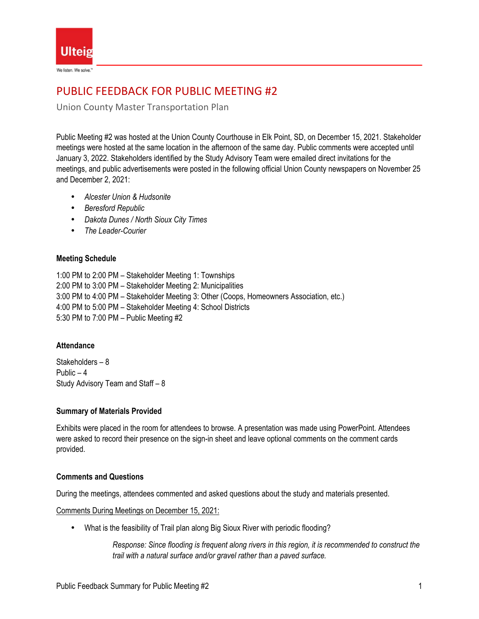

# PUBLIC FEEDBACK FOR PUBLIC MEETING #2

Union County Master Transportation Plan

Public Meeting #2 was hosted at the Union County Courthouse in Elk Point, SD, on December 15, 2021. Stakeholder meetings were hosted at the same location in the afternoon of the same day. Public comments were accepted until January 3, 2022. Stakeholders identified by the Study Advisory Team were emailed direct invitations for the meetings, and public advertisements were posted in the following official Union County newspapers on November 25 and December 2, 2021:

- *Alcester Union & Hudsonite*
- *Beresford Republic*
- *Dakota Dunes / North Sioux City Times*
- *The Leader-Courier*

# **Meeting Schedule**

1:00 PM to 2:00 PM – Stakeholder Meeting 1: Townships 2:00 PM to 3:00 PM – Stakeholder Meeting 2: Municipalities 3:00 PM to 4:00 PM – Stakeholder Meeting 3: Other (Coops, Homeowners Association, etc.) 4:00 PM to 5:00 PM – Stakeholder Meeting 4: School Districts 5:30 PM to 7:00 PM – Public Meeting #2

## **Attendance**

Stakeholders – 8 Public – 4 Study Advisory Team and Staff – 8

## **Summary of Materials Provided**

Exhibits were placed in the room for attendees to browse. A presentation was made using PowerPoint. Attendees were asked to record their presence on the sign-in sheet and leave optional comments on the comment cards provided.

# **Comments and Questions**

During the meetings, attendees commented and asked questions about the study and materials presented.

Comments During Meetings on December 15, 2021:

• What is the feasibility of Trail plan along Big Sioux River with periodic flooding?

*Response: Since flooding is frequent along rivers in this region, it is recommended to construct the trail with a natural surface and/or gravel rather than a paved surface.*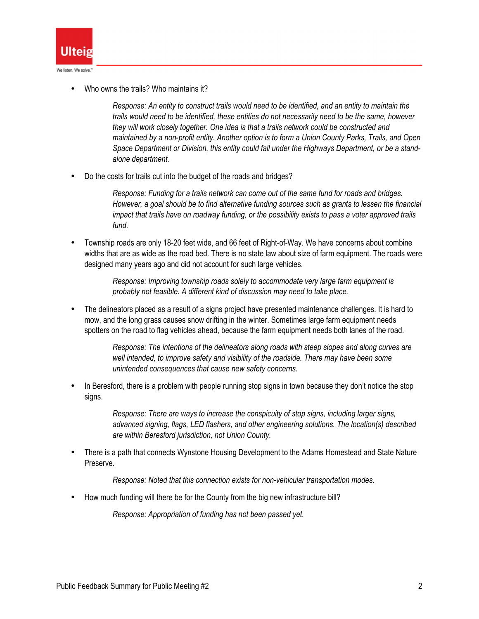

• Who owns the trails? Who maintains it?

*Response: An entity to construct trails would need to be identified, and an entity to maintain the trails would need to be identified, these entities do not necessarily need to be the same, however they will work closely together. One idea is that a trails network could be constructed and maintained by a non-profit entity. Another option is to form a Union County Parks, Trails, and Open Space Department or Division, this entity could fall under the Highways Department, or be a standalone department.* 

• Do the costs for trails cut into the budget of the roads and bridges?

*Response: Funding for a trails network can come out of the same fund for roads and bridges. However, a goal should be to find alternative funding sources such as grants to lessen the financial impact that trails have on roadway funding, or the possibility exists to pass a voter approved trails fund.* 

• Township roads are only 18-20 feet wide, and 66 feet of Right-of-Way. We have concerns about combine widths that are as wide as the road bed. There is no state law about size of farm equipment. The roads were designed many years ago and did not account for such large vehicles.

> *Response: Improving township roads solely to accommodate very large farm equipment is probably not feasible. A different kind of discussion may need to take place.*

• The delineators placed as a result of a signs project have presented maintenance challenges. It is hard to mow, and the long grass causes snow drifting in the winter. Sometimes large farm equipment needs spotters on the road to flag vehicles ahead, because the farm equipment needs both lanes of the road.

> *Response: The intentions of the delineators along roads with steep slopes and along curves are well intended, to improve safety and visibility of the roadside. There may have been some unintended consequences that cause new safety concerns.*

In Beresford, there is a problem with people running stop signs in town because they don't notice the stop signs.

> *Response: There are ways to increase the conspicuity of stop signs, including larger signs, advanced signing, flags, LED flashers, and other engineering solutions. The location(s) described are within Beresford jurisdiction, not Union County.*

• There is a path that connects Wynstone Housing Development to the Adams Homestead and State Nature Preserve.

*Response: Noted that this connection exists for non-vehicular transportation modes.* 

• How much funding will there be for the County from the big new infrastructure bill?

*Response: Appropriation of funding has not been passed yet.*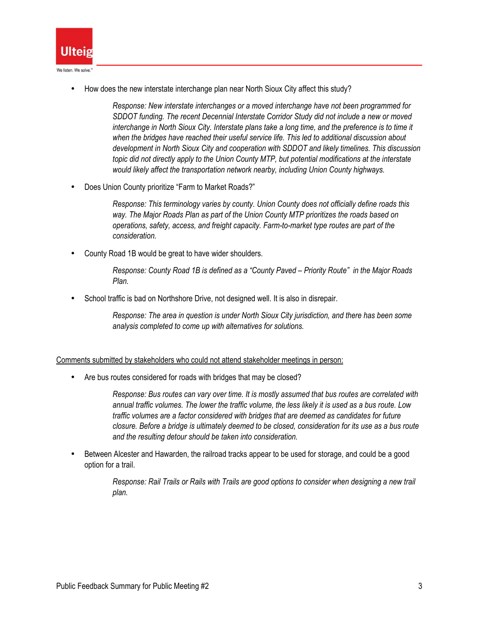

• How does the new interstate interchange plan near North Sioux City affect this study?

*Response: New interstate interchanges or a moved interchange have not been programmed for SDDOT funding. The recent Decennial Interstate Corridor Study did not include a new or moved interchange in North Sioux City. Interstate plans take a long time, and the preference is to time it when the bridges have reached their useful service life. This led to additional discussion about development in North Sioux City and cooperation with SDDOT and likely timelines. This discussion topic did not directly apply to the Union County MTP, but potential modifications at the interstate would likely affect the transportation network nearby, including Union County highways.* 

• Does Union County prioritize "Farm to Market Roads?"

*Response: This terminology varies by county. Union County does not officially define roads this way. The Major Roads Plan as part of the Union County MTP prioritizes the roads based on operations, safety, access, and freight capacity. Farm-to-market type routes are part of the consideration.* 

• County Road 1B would be great to have wider shoulders.

*Response: County Road 1B is defined as a "County Paved – Priority Route" in the Major Roads Plan.* 

School traffic is bad on Northshore Drive, not designed well. It is also in disrepair.

*Response: The area in question is under North Sioux City jurisdiction, and there has been some analysis completed to come up with alternatives for solutions.* 

Comments submitted by stakeholders who could not attend stakeholder meetings in person:

Are bus routes considered for roads with bridges that may be closed?

*Response: Bus routes can vary over time. It is mostly assumed that bus routes are correlated with annual traffic volumes. The lower the traffic volume, the less likely it is used as a bus route. Low traffic volumes are a factor considered with bridges that are deemed as candidates for future closure. Before a bridge is ultimately deemed to be closed, consideration for its use as a bus route and the resulting detour should be taken into consideration.* 

• Between Alcester and Hawarden, the railroad tracks appear to be used for storage, and could be a good option for a trail.

> *Response: Rail Trails or Rails with Trails are good options to consider when designing a new trail plan.*